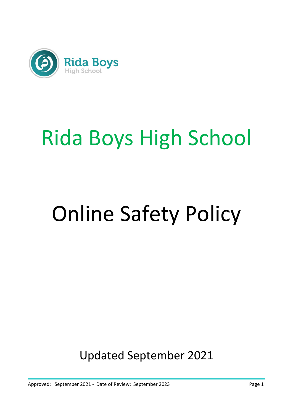

# Rida Boys High School

# Online Safety Policy

Updated September 2021

Approved: September 2021 - Date of Review: September 2023 Page 1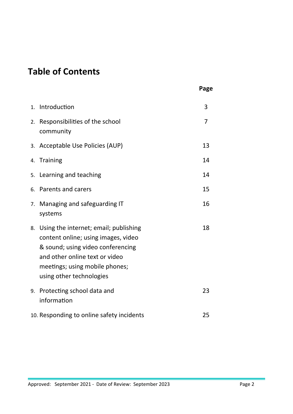# **Table of Contents**

|    |                                                                                                                                                                                                                   | Page           |
|----|-------------------------------------------------------------------------------------------------------------------------------------------------------------------------------------------------------------------|----------------|
|    | 1. Introduction                                                                                                                                                                                                   | 3              |
| 2. | Responsibilities of the school<br>community                                                                                                                                                                       | $\overline{7}$ |
|    | 3. Acceptable Use Policies (AUP)                                                                                                                                                                                  | 13             |
|    | 4. Training                                                                                                                                                                                                       | 14             |
|    | 5. Learning and teaching                                                                                                                                                                                          | 14             |
|    | 6. Parents and carers                                                                                                                                                                                             | 15             |
| 7. | Managing and safeguarding IT<br>systems                                                                                                                                                                           | 16             |
| 8. | Using the internet; email; publishing<br>content online; using images, video<br>& sound; using video conferencing<br>and other online text or video<br>meetings; using mobile phones;<br>using other technologies | 18             |
| 9. | Protecting school data and<br>information                                                                                                                                                                         | 23             |
|    | 10. Responding to online safety incidents                                                                                                                                                                         | 25             |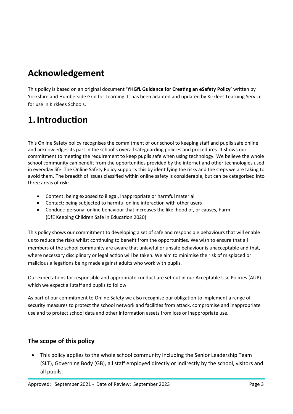# **Acknowledgement**

This policy is based on an original document '**YHGfL Guidance for Creating an eSafety Policy'** written by Yorkshire and Humberside Grid for Learning. It has been adapted and updated by Kirklees Learning Service for use in Kirklees Schools.

# **1.Introduction**

This Online Safety policy recognises the commitment of our school to keeping staff and pupils safe online and acknowledges its part in the school's overall safeguarding policies and procedures. It shows our commitment to meeting the requirement to keep pupils safe when using technology. We believe the whole school community can benefit from the opportunities provided by the internet and other technologies used in everyday life. The Online Safety Policy supports this by identifying the risks and the steps we are taking to avoid them. The breadth of issues classified within online safety is considerable, but can be categorised into three areas of risk:

- Content: being exposed to illegal, inappropriate or harmful material
- Contact: being subjected to harmful online interaction with other users
- Conduct: personal online behaviour that increases the likelihood of, or causes, harm (DfE Keeping Children Safe in Education 2020)

This policy shows our commitment to developing a set of safe and responsible behaviours that will enable us to reduce the risks whilst continuing to benefit from the opportunities. We wish to ensure that all members of the school community are aware that unlawful or unsafe behaviour is unacceptable and that, where necessary disciplinary or legal action will be taken. We aim to minimise the risk of misplaced or malicious allegations being made against adults who work with pupils.

Our expectations for responsible and appropriate conduct are set out in our Acceptable Use Policies (AUP) which we expect all staff and pupils to follow.

As part of our commitment to Online Safety we also recognise our obligation to implement a range of security measures to protect the school network and facilities from attack, compromise and inappropriate use and to protect school data and other information assets from loss or inappropriate use.

### **The scope of this policy**

 This policy applies to the whole school community including the Senior Leadership Team (SLT), Governing Body (GB), all staff employed directly or indirectly by the school, visitors and all pupils.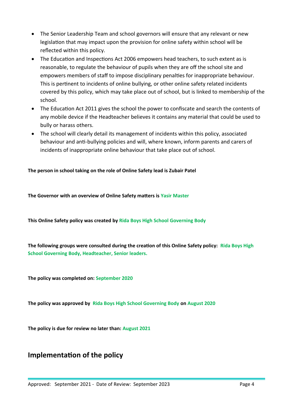- The Senior Leadership Team and school governors will ensure that any relevant or new legislation that may impact upon the provision for online safety within school will be reflected within this policy.
- The Education and Inspections Act 2006 empowers head teachers, to such extent as is reasonable, to regulate the behaviour of pupils when they are off the school site and empowers members of staff to impose disciplinary penalties for inappropriate behaviour. This is pertinent to incidents of online bullying, or other online safety related incidents covered by this policy, which may take place out of school, but is linked to membership of the school.
- The Education Act 2011 gives the school the power to confiscate and search the contents of any mobile device if the Headteacher believes it contains any material that could be used to bully or harass others.
- The school will clearly detail its management of incidents within this policy, associated behaviour and anti-bullying policies and will, where known, inform parents and carers of incidents of inappropriate online behaviour that take place out of school.

**The person in school taking on the role of Online Safety lead is Zubair Patel**

**The Governor with an overview of Online Safety matters is Yasir Master**

**This Online Safety policy was created by Rida Boys High School Governing Body**

**The following groups were consulted during the creation of this Online Safety policy: Rida Boys High School Governing Body, Headteacher, Senior leaders.** 

**The policy was completed on: September 2020**

**The policy was approved by Rida Boys High School Governing Body on August 2020**

**The policy is due for review no later than: August 2021**

### **Implementation of the policy**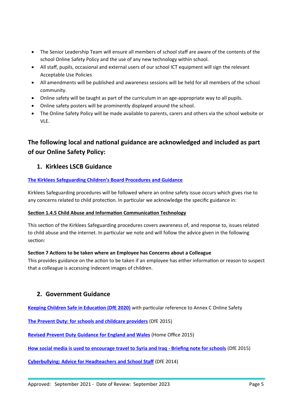- The Senior Leadership Team will ensure all members of school staff are aware of the contents of the school Online Safety Policy and the use of any new technology within school.
- All staff, pupils, occasional and external users of our school ICT equipment will sign the relevant Acceptable Use Policies
- All amendments will be published and awareness sessions will be held for all members of the school community.
- Online safety will be taught as part of the curriculum in an age-appropriate way to all pupils.
- Online safety posters will be prominently displayed around the school.
- The Online Safety Policy will be made available to parents, carers and others via the school website or VLE.

### **The following local and national guidance are acknowledged and included as part of our Online Safety Policy:**

### **1. Kirklees LSCB Guidance**

#### **[The Kirklees Safeguarding Children's Board Procedures and Guidance](http://www.kirkleessafeguardingchildren.co.uk/procedures-guidance.html)**

Kirklees Safeguarding procedures will be followed where an online safety issue occurs which gives rise to any concerns related to child protection. In particular we acknowledge the specific guidance in:

#### **[Section 1.4.5 Child Abuse and Information Communication Technology](https://westyorkscb.proceduresonline.com/p_ca_information.html)**

This section of the Kirklees Safeguarding procedures covers awareness of, and response to, issues related to child abuse and the internet. In particular we note and will follow the advice given in the following section:

#### **Section 7 Actions to be taken where an Employee has Concerns about a Colleague**

This provides guidance on the action to be taken if an employee has either information or reason to suspect that a colleague is accessing indecent images of children.

### **2. Government Guidance**

**[Keeping Children Safe in Education \(DfE 2020\)](https://www.gov.uk/government/uploads/system/uploads/attachment_data/file/526153/Keeping_children_safe_in_education_guidance_from_5_September_2)** with particular reference to Annex C Online Safety

**[The Prevent Duty: for schools and childcare providers](https://www.gov.uk/government/publications/protecting-children-from-radicalisation-the-prevent-duty)** (DfE 2015)

**[Revised Prevent Duty Guidance for England and Wales](https://www.gov.uk/government/publications/prevent-duty-guidance)** (Home Office 2015)

**[How social media is used to encourage travel to Syria and Iraq - Briefing note for schools](https://www.gov.uk/government/publications/the-use-of-social-media-for-online-radicalisation)** (DfE 2015)

**[Cyberbullying: Advice for Headteachers and School Staff](https://www.gov.uk/government/uploads/system/uploads/attachment_data/file/374850/Cyberbullying_Advice_for_Headteachers_and_School_Staff_121114.pdf)** (DfE 2014)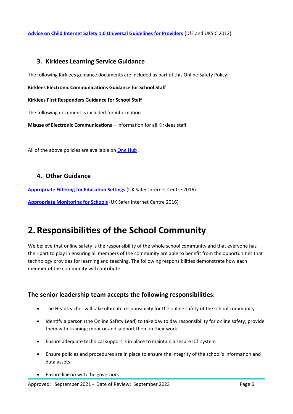#### **[Advice on Child Internet Safety 1.0 Universal Guidelines for Providers](https://www.gov.uk/government/uploads/system/uploads/attachment_data/file/177099/DFE-00004-2012.pdf)** (DfE and UKSIC 2012)

### **3. Kirklees Learning Service Guidance**

The following Kirklees guidance documents are included as part of this Online Safety Policy:

**Kirklees Electronic Communications Guidance for School Staff**

**Kirklees First Responders Guidance for School Staff**

The following document is included for information

**Misuse of Electronic Communications** – information for all Kirklees staff

All of the above policies are available on [One Hub](https://ws.onehub.com/workspaces/392105/folders/291680995).

### **4. Other Guidance**

**[Appropriate Filtering for Education Settings](http://www.saferinternet.org.uk/advice-and-resources/teachers-and-professionals/appropriate-filtering-and-monitoring)** (UK Safer Internet Centre 2016)

**[Appropriate Monitoring for Schools](http://www.saferinternet.org.uk/advice-and-resources/teachers-and-professionals/appropriate-filtering-and-monitoring)** (UK Safer Internet Centre 2016)

### **2.Responsibilities of the School Community**

We believe that online safety is the responsibility of the whole school community and that everyone has their part to play in ensuring all members of the community are able to benefit from the opportunities that technology provides for learning and teaching. The following responsibilities demonstrate how each member of the community will contribute.

### **The senior leadership team accepts the following responsibilities:**

- The Headteacher will take ultimate responsibility for the online safety of the school community
- Identify a person (the Online Safety Lead) to take day to day responsibility for online safety; provide them with training; monitor and support them in their work.
- Ensure adequate technical support is in place to maintain a secure ICT system
- Ensure policies and procedures are in place to ensure the integrity of the school's information and data assets
- Ensure liaison with the governors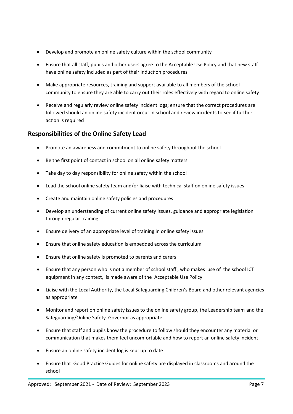- Develop and promote an online safety culture within the school community
- Ensure that all staff, pupils and other users agree to the Acceptable Use Policy and that new staff have online safety included as part of their induction procedures
- Make appropriate resources, training and support available to all members of the school community to ensure they are able to carry out their roles effectively with regard to online safety
- Receive and regularly review online safety incident logs; ensure that the correct procedures are followed should an online safety incident occur in school and review incidents to see if further action is required

### **Responsibilities of the Online Safety Lead**

- Promote an awareness and commitment to online safety throughout the school
- Be the first point of contact in school on all online safety matters
- Take day to day responsibility for online safety within the school
- Lead the school online safety team and/or liaise with technical staff on online safety issues
- Create and maintain online safety policies and procedures
- Develop an understanding of current online safety issues, guidance and appropriate legislation through regular training
- Ensure delivery of an appropriate level of training in online safety issues
- Ensure that online safety education is embedded across the curriculum
- Ensure that online safety is promoted to parents and carers
- Ensure that any person who is not a member of school staff , who makes use of the school ICT equipment in any context, is made aware of the Acceptable Use Policy
- Liaise with the Local Authority, the Local Safeguarding Children's Board and other relevant agencies as appropriate
- Monitor and report on online safety issues to the online safety group, the Leadership team and the Safeguarding/Online Safety Governor as appropriate
- Ensure that staff and pupils know the procedure to follow should they encounter any material or communication that makes them feel uncomfortable and how to report an online safety incident
- Ensure an online safety incident log is kept up to date
- Ensure that Good Practice Guides for online safety are displayed in classrooms and around the school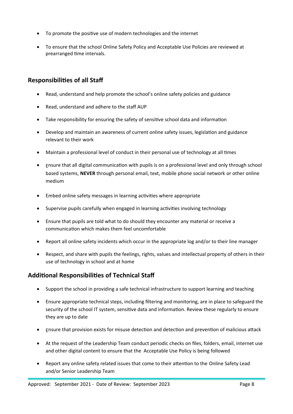- To promote the positive use of modern technologies and the internet
- To ensure that the school Online Safety Policy and Acceptable Use Policies are reviewed at prearranged time intervals.

### **Responsibilities of all Staff**

- Read, understand and help promote the school's online safety policies and guidance
- Read, understand and adhere to the staff AUP
- Take responsibility for ensuring the safety of sensitive school data and information
- Develop and maintain an awareness of current online safety issues, legislation and guidance relevant to their work
- Maintain a professional level of conduct in their personal use of technology at all times
- Ensure that all digital communication with pupils is on a professional level and only through school based systems, **NEVER** through personal email, text, mobile phone social network or other online medium
- Embed online safety messages in learning activities where appropriate
- Supervise pupils carefully when engaged in learning activities involving technology
- Ensure that pupils are told what to do should they encounter any material or receive a communication which makes them feel uncomfortable
- Report all online safety incidents which occur in the appropriate log and/or to their line manager
- Respect, and share with pupils the feelings, rights, values and intellectual property of others in their use of technology in school and at home

### **Additional Responsibilities of Technical Staff**

- Support the school in providing a safe technical infrastructure to support learning and teaching
- Ensure appropriate technical steps, including filtering and monitoring, are in place to safeguard the security of the school IT system, sensitive data and information. Review these regularly to ensure they are up to date
- Ensure that provision exists for misuse detection and detection and prevention of malicious attack
- At the request of the Leadership Team conduct periodic checks on files, folders, email, internet use and other digital content to ensure that the Acceptable Use Policy is being followed
- Report any online safety related issues that come to their attention to the Online Safety Lead and/or Senior Leadership Team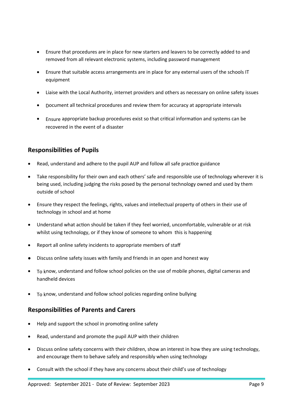- Ensure that procedures are in place for new starters and leavers to be correctly added to and removed from all relevant electronic systems, including password management
- Ensure that suitable access arrangements are in place for any external users of the schools IT equipment
- Liaise with the Local Authority, internet providers and others as necessary on online safety issues
- Document all technical procedures and review them for accuracy at appropriate intervals
- Ensure appropriate backup procedures exist so that critical information and systems can be recovered in the event of a disaster

### **Responsibilities of Pupils**

- Read, understand and adhere to the pupil AUP and follow all safe practice guidance
- Take responsibility for their own and each others' safe and responsible use of technology wherever it is being used, including judging the risks posed by the personal technology owned and used by them outside of school
- Ensure they respect the feelings, rights, values and intellectual property of others in their use of technology in school and at home
- Understand what action should be taken if they feel worried, uncomfortable, vulnerable or at risk whilst using technology, or if they know of someone to whom this is happening
- Report all online safety incidents to appropriate members of staff
- Discuss online safety issues with family and friends in an open and honest way
- To know, understand and follow school policies on the use of mobile phones, digital cameras and handheld devices
- To know, understand and follow school policies regarding online bullying

### **Responsibilities of Parents and Carers**

- Help and support the school in promoting online safety
- Read, understand and promote the pupil AUP with their children
- Discuss online safety concerns with their children, show an interest in how they are using technology, and encourage them to behave safely and responsibly when using technology
- Consult with the school if they have any concerns about their child's use of technology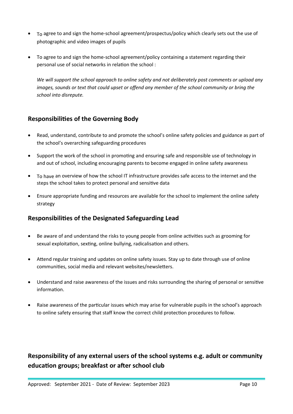- To agree to and sign the home-school agreement/prospectus/policy which clearly sets out the use of photographic and video images of pupils
- To agree to and sign the home-school agreement/policy containing a statement regarding their personal use of social networks in relation the school :

*We will support the school approach to online safety and not deliberately post comments or upload any images, sounds or text that could upset or offend any member of the school community or bring the school into disrepute.* 

### **Responsibilities of the Governing Body**

- Read, understand, contribute to and promote the school's online safety policies and guidance as part of the school's overarching safeguarding procedures
- Support the work of the school in promoting and ensuring safe and responsible use of technology in and out of school, including encouraging parents to become engaged in online safety awareness
- To have an overview of how the school IT infrastructure provides safe access to the internet and the steps the school takes to protect personal and sensitive data
- Ensure appropriate funding and resources are available for the school to implement the online safety strategy

### **Responsibilities of the Designated Safeguarding Lead**

- Be aware of and understand the risks to young people from online activities such as grooming for sexual exploitation, sexting, online bullying, radicalisation and others.
- Attend regular training and updates on online safety issues. Stay up to date through use of online communities, social media and relevant websites/newsletters.
- Understand and raise awareness of the issues and risks surrounding the sharing of personal or sensitive information.
- Raise awareness of the particular issues which may arise for vulnerable pupils in the school's approach to online safety ensuring that staff know the correct child protection procedures to follow.

### **Responsibility of any external users of the school systems e.g. adult or community education groups; breakfast or after school club**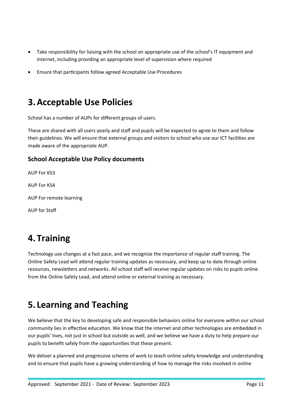- Take responsibility for liaising with the school on appropriate use of the school's IT equipment and internet, including providing an appropriate level of supervision where required
- Ensure that participants follow agreed Acceptable Use Procedures

### **3.Acceptable Use Policies**

School has a number of AUPs for different groups of users.

These are shared with all users yearly and staff and pupils will be expected to agree to them and follow their guidelines. We will ensure that external groups and visitors to school who use our ICT facilities are made aware of the appropriate AUP.

### **School Acceptable Use Policy documents**

AUP For KS3

AUP For KS4

AUP For remote learning

AUP for Staff

# **4. Training**

Technology use changes at a fast pace, and we recognise the importance of regular staff training. The Online Safety Lead will attend regular training updates as necessary, and keep up to date through online resources, newsletters and networks. All school staff will receive regular updates on risks to pupils online from the Online Safety Lead, and attend online or external training as necessary.

### **5. Learning and Teaching**

We believe that the key to developing safe and responsible behaviors online for everyone within our school community lies in effective education. We know that the internet and other technologies are embedded in our pupils' lives, not just in school but outside as well, and we believe we have a duty to help prepare our pupils to benefit safely from the opportunities that these present.

We deliver a planned and progressive scheme of work to teach online safety knowledge and understanding and to ensure that pupils have a growing understanding of how to manage the risks involved in online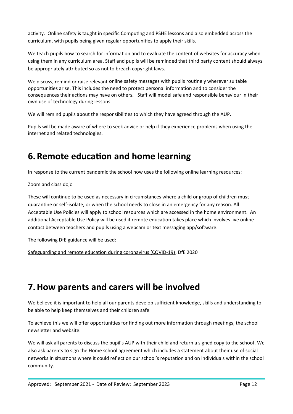activity. Online safety is taught in specific Computing and PSHE lessons and also embedded across the curriculum, with pupils being given regular opportunities to apply their skills.

We teach pupils how to search for information and to evaluate the content of websites for accuracy when using them in any curriculum area. Staff and pupils will be reminded that third party content should always be appropriately attributed so as not to breach copyright laws.

We discuss, remind or raise relevant online safety messages with pupils routinely wherever suitable opportunities arise. This includes the need to protect personal information and to consider the consequences their actions may have on others. Staff will model safe and responsible behaviour in their own use of technology during lessons.

We will remind pupils about the responsibilities to which they have agreed through the AUP.

Pupils will be made aware of where to seek advice or help if they experience problems when using the internet and related technologies.

### **6.Remote education and home learning**

In response to the current pandemic the school now uses the following online learning resources:

Zoom and class dojo

These will continue to be used as necessary in circumstances where a child or group of children must quarantine or self-isolate, or when the school needs to close in an emergency for any reason. All Acceptable Use Policies will apply to school resources which are accessed in the home environment. An additional Acceptable Use Policy will be used if remote education takes place which involves live online contact between teachers and pupils using a webcam or text messaging app/software.

The following DfE guidance will be used:

[Safeguarding and remote education during coronavirus \(COVID-19\)](https://www.gov.uk/guidance/safeguarding-and-remote-education-during-coronavirus-covid-19), DfE 2020

### **7.How parents and carers will be involved**

We believe it is important to help all our parents develop sufficient knowledge, skills and understanding to be able to help keep themselves and their children safe.

To achieve this we will offer opportunities for finding out more information through meetings, the school newsletter and website.

We will ask all parents to discuss the pupil's AUP with their child and return a signed copy to the school. We also ask parents to sign the Home school agreement which includes a statement about their use of social networks in situations where it could reflect on our school's reputation and on individuals within the school community.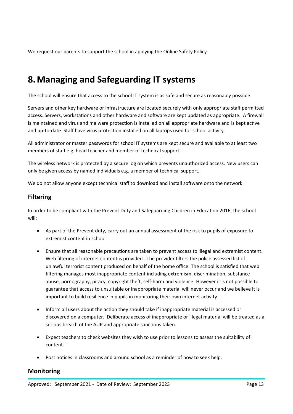We request our parents to support the school in applying the Online Safety Policy.

### **8.Managing and Safeguarding IT systems**

The school will ensure that access to the school IT system is as safe and secure as reasonably possible.

Servers and other key hardware or infrastructure are located securely with only appropriate staff permitted access. Servers, workstations and other hardware and software are kept updated as appropriate. A firewall is maintained and virus and malware protection is installed on all appropriate hardware and is kept active and up-to-date. Staff have virus protection installed on all laptops used for school activity.

All administrator or master passwords for school IT systems are kept secure and available to at least two members of staff e.g. head teacher and member of technical support.

The wireless network is protected by a secure log on which prevents unauthorized access. New users can only be given access by named individuals e.g. a member of technical support.

We do not allow anyone except technical staff to download and install software onto the network.

### **Filtering**

In order to be compliant with the Prevent Duty and Safeguarding Children in Education 2016, the school will:

- As part of the Prevent duty, carry out an annual assessment of the risk to pupils of exposure to extremist content in school
- Ensure that all reasonable precautions are taken to prevent access to illegal and extremist content. Web filtering of internet content is provided . The provider filters the police assessed list of unlawful terrorist content produced on behalf of the home office. The school is satisfied that web filtering manages most inappropriate content including extremism, discrimination, substance abuse, pornography, piracy, copyright theft, self-harm and violence. However it is not possible to guarantee that access to unsuitable or inappropriate material will never occur and we believe it is important to build resilience in pupils in monitoring their own internet activity.
- Inform all users about the action they should take if inappropriate material is accessed or discovered on a computer. Deliberate access of inappropriate or illegal material will be treated as a serious breach of the AUP and appropriate sanctions taken.
- Expect teachers to check websites they wish to use prior to lessons to assess the suitability of content.
- Post notices in classrooms and around school as a reminder of how to seek help.

### **Monitoring**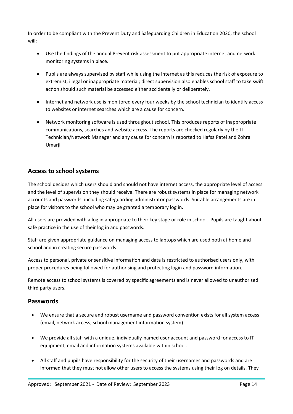In order to be compliant with the Prevent Duty and Safeguarding Children in Education 2020, the school will:

- Use the findings of the annual Prevent risk assessment to put appropriate internet and network monitoring systems in place.
- Pupils are always supervised by staff while using the internet as this reduces the risk of exposure to extremist, illegal or inappropriate material; direct supervision also enables school staff to take swift action should such material be accessed either accidentally or deliberately.
- Internet and network use is monitored every four weeks by the school technician to identify access to websites or internet searches which are a cause for concern.
- Network monitoring software is used throughout school. This produces reports of inappropriate communications, searches and website access. The reports are checked regularly by the IT Technician/Network Manager and any cause for concern is reported to Hafsa Patel and Zohra Umarji.

### **Access to school systems**

The school decides which users should and should not have internet access, the appropriate level of access and the level of supervision they should receive. There are robust systems in place for managing network accounts and passwords, including safeguarding administrator passwords. Suitable arrangements are in place for visitors to the school who may be granted a temporary log in.

All users are provided with a log in appropriate to their key stage or role in school. Pupils are taught about safe practice in the use of their log in and passwords.

Staff are given appropriate guidance on managing access to laptops which are used both at home and school and in creating secure passwords.

Access to personal, private or sensitive information and data is restricted to authorised users only, with proper procedures being followed for authorising and protecting login and password information.

Remote access to school systems is covered by specific agreements and is never allowed to unauthorised third party users.

### **Passwords**

- We ensure that a secure and robust username and password convention exists for all system access (email, network access, school management information system).
- We provide all staff with a unique, individually-named user account and password for access to IT equipment, email and information systems available within school.
- All staff and pupils have responsibility for the security of their usernames and passwords and are informed that they must not allow other users to access the systems using their log on details. They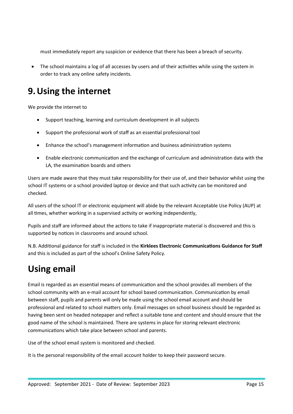must immediately report any suspicion or evidence that there has been a breach of security.

• The school maintains a log of all accesses by users and of their activities while using the system in order to track any online safety incidents.

# **9.Using the internet**

We provide the internet to

- Support teaching, learning and curriculum development in all subjects
- Support the professional work of staff as an essential professional tool
- Enhance the school's management information and business administration systems
- Enable electronic communication and the exchange of curriculum and administration data with the LA, the examination boards and others

Users are made aware that they must take responsibility for their use of, and their behavior whilst using the school IT systems or a school provided laptop or device and that such activity can be monitored and checked.

All users of the school IT or electronic equipment will abide by the relevant Acceptable Use Policy (AUP) at all times, whether working in a supervised activity or working independently,

Pupils and staff are informed about the actions to take if inappropriate material is discovered and this is supported by notices in classrooms and around school.

N.B. Additional guidance for staff is included in the **Kirklees Electronic Communications Guidance for Staff**  and this is included as part of the school's Online Safety Policy.

# **Using email**

Email is regarded as an essential means of communication and the school provides all members of the school community with an e-mail account for school based communication. Communication by email between staff, pupils and parents will only be made using the school email account and should be professional and related to school matters only. Email messages on school business should be regarded as having been sent on headed notepaper and reflect a suitable tone and content and should ensure that the good name of the school is maintained. There are systems in place for storing relevant electronic communications which take place between school and parents.

Use of the school email system is monitored and checked.

It is the personal responsibility of the email account holder to keep their password secure.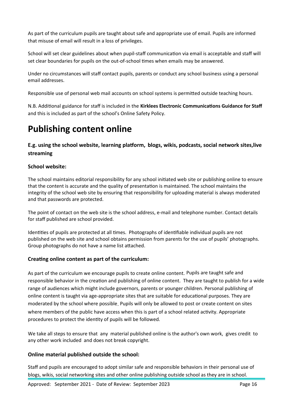As part of the curriculum pupils are taught about safe and appropriate use of email. Pupils are informed that misuse of email will result in a loss of privileges.

School will set clear guidelines about when pupil-staff communication via email is acceptable and staff will set clear boundaries for pupils on the out-of-school times when emails may be answered.

Under no circumstances will staff contact pupils, parents or conduct any school business using a personal email addresses.

Responsible use of personal web mail accounts on school systems is permitted outside teaching hours.

N.B. Additional guidance for staff is included in the **Kirklees Electronic Communications Guidance for Staff**  and this is included as part of the school's Online Safety Policy.

# **Publishing content online**

**E.g. using the school website, learning platform, blogs, wikis, podcasts, social network sites,live streaming**

### **School website:**

The school maintains editorial responsibility for any school initiated web site or publishing online to ensure that the content is accurate and the quality of presentation is maintained. The school maintains the integrity of the school web site by ensuring that responsibility for uploading material is always moderated and that passwords are protected.

The point of contact on the web site is the school address, e-mail and telephone number. Contact details for staff published are school provided.

Identities of pupils are protected at all times. Photographs of identifiable individual pupils are not published on the web site and school obtains permission from parents for the use of pupils' photographs. Group photographs do not have a name list attached.

#### **Creating online content as part of the curriculum:**

As part of the curriculum we encourage pupils to create online content. Pupils are taught safe and responsible behavior in the creation and publishing of online content. They are taught to publish for a wide range of audiences which might include governors, parents or younger children. Personal publishing of online content is taught via age-appropriate sites that are suitable for educational purposes. They are moderated by the school where possible. Pupils will only be allowed to post or create content on sites where members of the public have access when this is part of a school related activity. Appropriate procedures to protect the identity of pupils will be followed.

We take all steps to ensure that any material published online is the author's own work, gives credit to any other work included and does not break copyright.

#### **Online material published outside the school:**

Staff and pupils are encouraged to adopt similar safe and responsible behaviors in their personal use of blogs, wikis, social networking sites and other online publishing outside school as they are in school.

Approved: September 2021 - Date of Review: September 2023 Page 16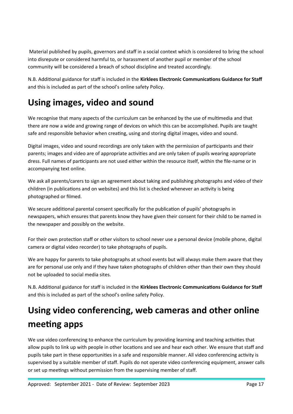Material published by pupils, governors and staff in a social context which is considered to bring the school into disrepute or considered harmful to, or harassment of another pupil or member of the school community will be considered a breach of school discipline and treated accordingly.

N.B. Additional guidance for staff is included in the **Kirklees Electronic Communications Guidance for Staff**  and this is included as part of the school's online safety Policy.

# **Using images, video and sound**

We recognise that many aspects of the curriculum can be enhanced by the use of multimedia and that there are now a wide and growing range of devices on which this can be accomplished. Pupils are taught safe and responsible behavior when creating, using and storing digital images, video and sound.

Digital images, video and sound recordings are only taken with the permission of participants and their parents; images and video are of appropriate activities and are only taken of pupils wearing appropriate dress. Full names of participants are not used either within the resource itself, within the file-name or in accompanying text online.

We ask all parents/carers to sign an agreement about taking and publishing photographs and video of their children (in publications and on websites) and this list is checked whenever an activity is being photographed or filmed.

We secure additional parental consent specifically for the publication of pupils' photographs in newspapers, which ensures that parents know they have given their consent for their child to be named in the newspaper and possibly on the website.

For their own protection staff or other visitors to school never use a personal device (mobile phone, digital camera or digital video recorder) to take photographs of pupils.

We are happy for parents to take photographs at school events but will always make them aware that they are for personal use only and if they have taken photographs of children other than their own they should not be uploaded to social media sites.

N.B. Additional guidance for staff is included in the **Kirklees Electronic Communications Guidance for Staff**  and this is included as part of the school's online safety Policy.

# **Using video conferencing, web cameras and other online meeting apps**

We use video conferencing to enhance the curriculum by providing learning and teaching activities that allow pupils to link up with people in other locations and see and hear each other. We ensure that staff and pupils take part in these opportunities in a safe and responsible manner. All video conferencing activity is supervised by a suitable member of staff. Pupils do not operate video conferencing equipment, answer calls or set up meetings without permission from the supervising member of staff.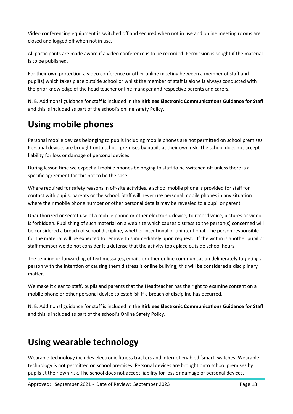Video conferencing equipment is switched off and secured when not in use and online meeting rooms are closed and logged off when not in use.

All participants are made aware if a video conference is to be recorded. Permission is sought if the material is to be published.

For their own protection a video conference or other online meeting between a member of staff and pupil(s) which takes place outside school or whilst the member of staff is alone is always conducted with the prior knowledge of the head teacher or line manager and respective parents and carers.

N. B. Additional guidance for staff is included in the **Kirklees Electronic Communications Guidance for Staff**  and this is included as part of the school's online safety Policy.

# **Using mobile phones**

Personal mobile devices belonging to pupils including mobile phones are not permitted on school premises. Personal devices are brought onto school premises by pupils at their own risk. The school does not accept liability for loss or damage of personal devices.

During lesson time we expect all mobile phones belonging to staff to be switched off unless there is a specific agreement for this not to be the case.

Where required for safety reasons in off-site activities, a school mobile phone is provided for staff for contact with pupils, parents or the school. Staff will never use personal mobile phones in any situation where their mobile phone number or other personal details may be revealed to a pupil or parent.

Unauthorized or secret use of a mobile phone or other electronic device, to record voice, pictures or video is forbidden. Publishing of such material on a web site which causes distress to the person(s) concerned will be considered a breach of school discipline, whether intentional or unintentional. The person responsible for the material will be expected to remove this immediately upon request. If the victim is another pupil or staff member we do not consider it a defense that the activity took place outside school hours.

The sending or forwarding of text messages, emails or other online communication deliberately targeting a person with the intention of causing them distress is online bullying; this will be considered a disciplinary matter.

We make it clear to staff, pupils and parents that the Headteacher has the right to examine content on a mobile phone or other personal device to establish if a breach of discipline has occurred.

N. B. Additional guidance for staff is included in the **Kirklees Electronic Communications Guidance for Staff**  and this is included as part of the school's Online Safety Policy.

# **Using wearable technology**

Wearable technology includes electronic fitness trackers and internet enabled 'smart' watches. Wearable technology is not permitted on school premises. Personal devices are brought onto school premises by pupils at their own risk. The school does not accept liability for loss or damage of personal devices.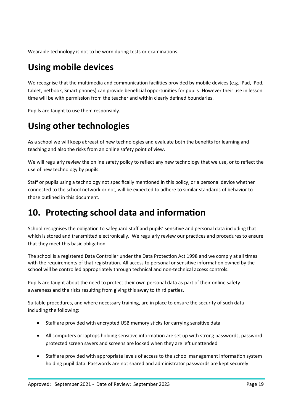Wearable technology is not to be worn during tests or examinations.

# **Using mobile devices**

We recognise that the multimedia and communication facilities provided by mobile devices (e.g. iPad, iPod, tablet, netbook, Smart phones) can provide beneficial opportunities for pupils. However their use in lesson time will be with permission from the teacher and within clearly defined boundaries.

Pupils are taught to use them responsibly.

### **Using other technologies**

As a school we will keep abreast of new technologies and evaluate both the benefits for learning and teaching and also the risks from an online safety point of view.

We will regularly review the online safety policy to reflect any new technology that we use, or to reflect the use of new technology by pupils.

Staff or pupils using a technology not specifically mentioned in this policy, or a personal device whether connected to the school network or not, will be expected to adhere to similar standards of behavior to those outlined in this document.

### **10. Protecting school data and information**

School recognises the obligation to safeguard staff and pupils' sensitive and personal data including that which is stored and transmitted electronically. We regularly review our practices and procedures to ensure that they meet this basic obligation.

The school is a registered Data Controller under the Data Protection Act 1998 and we comply at all times with the requirements of that registration. All access to personal or sensitive information owned by the school will be controlled appropriately through technical and non-technical access controls.

Pupils are taught about the need to protect their own personal data as part of their online safety awareness and the risks resulting from giving this away to third parties.

Suitable procedures, and where necessary training, are in place to ensure the security of such data including the following:

- Staff are provided with encrypted USB memory sticks for carrying sensitive data
- All computers or laptops holding sensitive information are set up with strong passwords, password protected screen savers and screens are locked when they are left unattended
- Staff are provided with appropriate levels of access to the school management information system holding pupil data. Passwords are not shared and administrator passwords are kept securely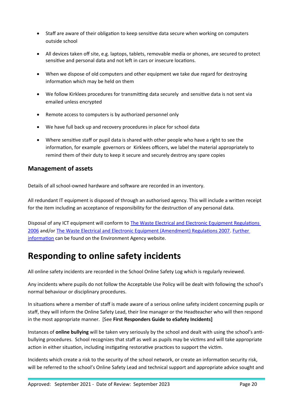- Staff are aware of their obligation to keep sensitive data secure when working on computers outside school
- All devices taken off site, e.g. laptops, tablets, removable media or phones, are secured to protect sensitive and personal data and not left in cars or insecure locations.
- When we dispose of old computers and other equipment we take due regard for destroying information which may be held on them
- We follow Kirklees procedures for transmitting data securely and sensitive data is not sent via emailed unless encrypted
- Remote access to computers is by authorized personnel only
- We have full back up and recovery procedures in place for school data
- Where sensitive staff or pupil data is shared with other people who have a right to see the information, for example governors or Kirklees officers, we label the material appropriately to remind them of their duty to keep it secure and securely destroy any spare copies

### **Management of assets**

Details of all school-owned hardware and software are recorded in an inventory.

All redundant IT equipment is disposed of through an authorised agency. This will include a written receipt for the item including an acceptance of responsibility for the destruction of any personal data.

Disposal of any ICT equipment will conform to [The Waste Electrical and Electronic Equipment Regulations](http://www.legislation.gov.uk/uksi/2006/3289/pdfs/uksi_20063289_en.pdf)  [2006](http://www.legislation.gov.uk/uksi/2006/3289/pdfs/uksi_20063289_en.pdf) and/or [The Waste Electrical and Electronic Equipment \(Amendment\) Regulations 2007](http://www.legislation.gov.uk/uksi/2007/3454/pdfs/uksi_20073454_en.pdf). [Further](http://www.environment-agency.gov.uk/business/topics/waste/32084.aspx)  [information](http://www.environment-agency.gov.uk/business/topics/waste/32084.aspx) can be found on the Environment Agency website.

### **Responding to online safety incidents**

All online safety incidents are recorded in the School Online Safety Log which is regularly reviewed.

Any incidents where pupils do not follow the Acceptable Use Policy will be dealt with following the school's normal behaviour or disciplinary procedures.

In situations where a member of staff is made aware of a serious online safety incident concerning pupils or staff, they will inform the Online Safety Lead, their line manager or the Headteacher who will then respond in the most appropriate manner. [See **First Responders Guide to eSafety Incidents]**

Instances of **online bullying** will be taken very seriously by the school and dealt with using the school's antibullying procedures. School recognizes that staff as well as pupils may be victims and will take appropriate action in either situation, including instigating restorative practices to support the victim.

Incidents which create a risk to the security of the school network, or create an information security risk, will be referred to the school's Online Safety Lead and technical support and appropriate advice sought and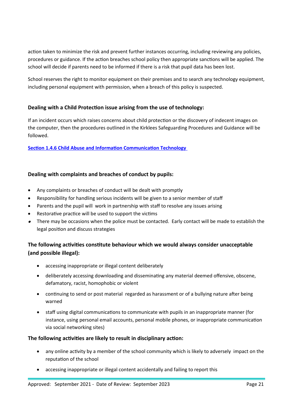action taken to minimize the risk and prevent further instances occurring, including reviewing any policies, procedures or guidance. If the action breaches school policy then appropriate sanctions will be applied. The school will decide if parents need to be informed if there is a risk that pupil data has been lost.

School reserves the right to monitor equipment on their premises and to search any technology equipment, including personal equipment with permission, when a breach of this policy is suspected.

### **Dealing with a Child Protection issue arising from the use of technology:**

If an incident occurs which raises concerns about child protection or the discovery of indecent images on the computer, then the procedures outlined in the Kirklees Safeguarding Procedures and Guidance will be followed.

#### **[Section 1.4.6 Child Abuse and Information Communication Technology](http://www.proceduresonline.com/westyorkscb/chapters/p_ca_information.html#_refstrat)**

#### **Dealing with complaints and breaches of conduct by pupils:**

- Any complaints or breaches of conduct will be dealt with promptly
- Responsibility for handling serious incidents will be given to a senior member of staff
- Parents and the pupil will work in partnership with staff to resolve any issues arising
- Restorative practice will be used to support the victims
- There may be occasions when the police must be contacted. Early contact will be made to establish the legal position and discuss strategies

### **The following activities constitute behaviour which we would always consider unacceptable (and possible illegal):**

- accessing inappropriate or illegal content deliberately
- deliberately accessing downloading and disseminating any material deemed offensive, obscene, defamatory, racist, homophobic or violent
- continuing to send or post material regarded as harassment or of a bullying nature after being warned
- staff using digital communications to communicate with pupils in an inappropriate manner (for instance, using personal email accounts, personal mobile phones, or inappropriate communication via social networking sites)

#### **The following activities are likely to result in disciplinary action:**

- any online activity by a member of the school community which is likely to adversely impact on the reputation of the school
- accessing inappropriate or illegal content accidentally and failing to report this